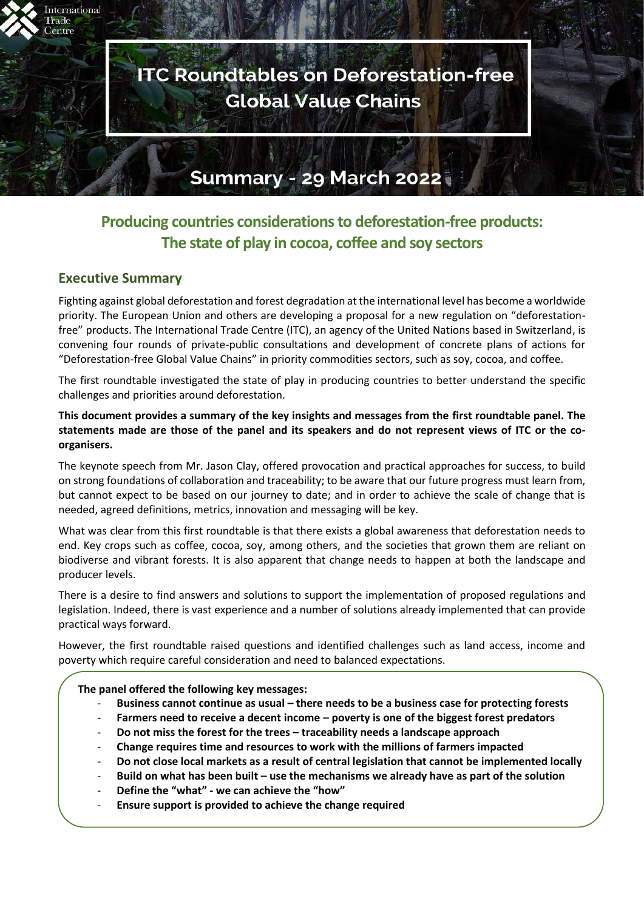

# **Producing countries considerations to deforestation-free products: The state of play in cocoa, coffee and soy sectors**

# **Executive Summary**

Fighting against global deforestation and forest degradation at the international level has become a worldwide priority. The European Union and others are developing a proposal for a new regulation on "deforestationfree" products. The International Trade Centre (ITC), an agency of the United Nations based in Switzerland, is convening four rounds of private-public consultations and development of concrete plans of actions for "Deforestation-free Global Value Chains" in priority commodities sectors, such as soy, cocoa, and coffee.

The first roundtable investigated the state of play in producing countries to better understand the specific challenges and priorities around deforestation.

**This document provides a summary of the key insights and messages from the first roundtable panel. The statements made are those of the panel and its speakers and do not represent views of ITC or the coorganisers.** 

The keynote speech from Mr. Jason Clay, offered provocation and practical approaches for success, to build on strong foundations of collaboration and traceability; to be aware that our future progress must learn from, but cannot expect to be based on our journey to date; and in order to achieve the scale of change that is needed, agreed definitions, metrics, innovation and messaging will be key.

What was clear from this first roundtable is that there exists a global awareness that deforestation needs to end. Key crops such as coffee, cocoa, soy, among others, and the societies that grown them are reliant on biodiverse and vibrant forests. It is also apparent that change needs to happen at both the landscape and producer levels.

There is a desire to find answers and solutions to support the implementation of proposed regulations and legislation. Indeed, there is vast experience and a number of solutions already implemented that can provide practical ways forward.

However, the first roundtable raised questions and identified challenges such as land access, income and poverty which require careful consideration and need to balanced expectations.

### **The panel offered the following key messages:**

- **Business cannot continue as usual – there needs to be a business case for protecting forests**
- **Farmers need to receive a decent income – poverty is one of the biggest forest predators**
- **Do not miss the forest for the trees – traceability needs a landscape approach**
- **Change requires time and resources to work with the millions of farmers impacted**
- **Do not close local markets as a result of central legislation that cannot be implemented locally**
- **Build on what has been built – use the mechanisms we already have as part of the solution**
- **Define the "what" - we can achieve the "how"**
- **Ensure support is provided to achieve the change required**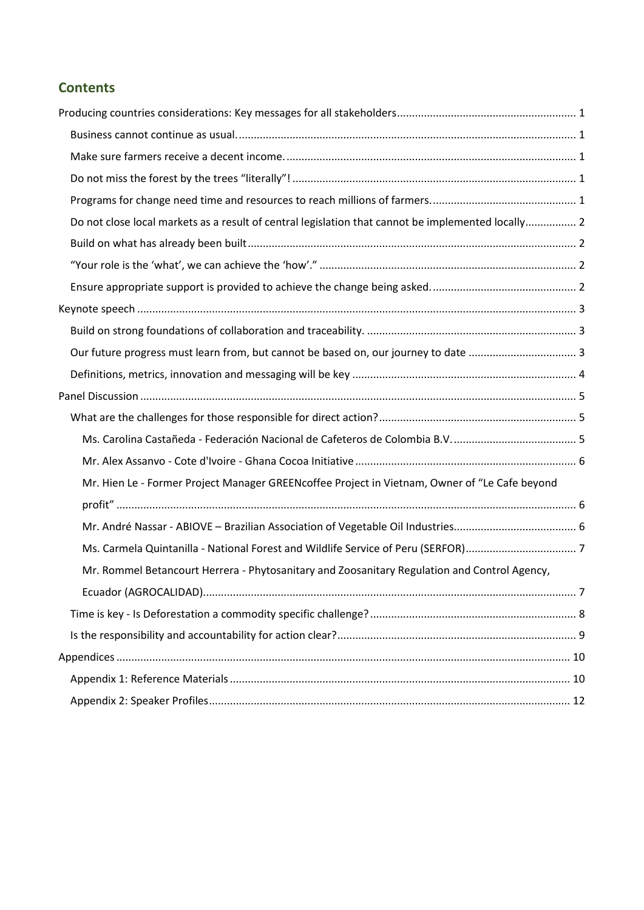# **Contents**

| Do not close local markets as a result of central legislation that cannot be implemented locally 2 |  |
|----------------------------------------------------------------------------------------------------|--|
|                                                                                                    |  |
|                                                                                                    |  |
|                                                                                                    |  |
|                                                                                                    |  |
|                                                                                                    |  |
|                                                                                                    |  |
|                                                                                                    |  |
|                                                                                                    |  |
|                                                                                                    |  |
|                                                                                                    |  |
|                                                                                                    |  |
| Mr. Hien Le - Former Project Manager GREENcoffee Project in Vietnam, Owner of "Le Cafe beyond      |  |
|                                                                                                    |  |
|                                                                                                    |  |
|                                                                                                    |  |
| Mr. Rommel Betancourt Herrera - Phytosanitary and Zoosanitary Regulation and Control Agency,       |  |
|                                                                                                    |  |
|                                                                                                    |  |
|                                                                                                    |  |
|                                                                                                    |  |
|                                                                                                    |  |
|                                                                                                    |  |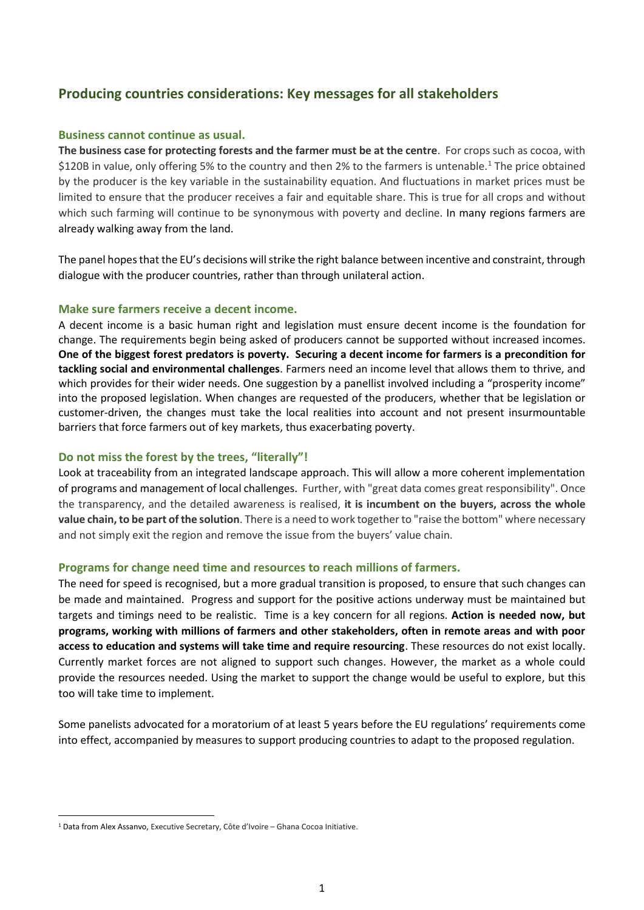# <span id="page-2-0"></span>**Producing countries considerations: Key messages for all stakeholders**

### <span id="page-2-1"></span>**Business cannot continue as usual.**

**The business case for protecting forests and the farmer must be at the centre**. For crops such as cocoa, with \$120B in value, only offering 5% to the country and then 2% to the farmers is untenable.<sup>1</sup> The price obtained by the producer is the key variable in the sustainability equation. And fluctuations in market prices must be limited to ensure that the producer receives a fair and equitable share. This is true for all crops and without which such farming will continue to be synonymous with poverty and decline. In many regions farmers are already walking away from the land.

The panel hopes that the EU's decisions will strike the right balance between incentive and constraint, through dialogue with the producer countries, rather than through unilateral action.

# <span id="page-2-2"></span>**Make sure farmers receive a decent income.**

A decent income is a basic human right and legislation must ensure decent income is the foundation for change. The requirements begin being asked of producers cannot be supported without increased incomes. **One of the biggest forest predators is poverty. Securing a decent income for farmers is a precondition for tackling social and environmental challenges**. Farmers need an income level that allows them to thrive, and which provides for their wider needs. One suggestion by a panellist involved including a "prosperity income" into the proposed legislation. When changes are requested of the producers, whether that be legislation or customer-driven, the changes must take the local realities into account and not present insurmountable barriers that force farmers out of key markets, thus exacerbating poverty.

### <span id="page-2-3"></span>**Do not miss the forest by the trees, "literally"!**

Look at traceability from an integrated landscape approach. This will allow a more coherent implementation of programs and management of local challenges. Further, with "great data comes great responsibility". Once the transparency, and the detailed awareness is realised, **it is incumbent on the buyers, across the whole value chain, to be part of the solution**. There is a need to work together to "raise the bottom" where necessary and not simply exit the region and remove the issue from the buyers' value chain.

### <span id="page-2-4"></span>**Programs for change need time and resources to reach millions of farmers.**

The need for speed is recognised, but a more gradual transition is proposed, to ensure that such changes can be made and maintained. Progress and support for the positive actions underway must be maintained but targets and timings need to be realistic. Time is a key concern for all regions. **Action is needed now, but programs, working with millions of farmers and other stakeholders, often in remote areas and with poor access to education and systems will take time and require resourcing**. These resources do not exist locally. Currently market forces are not aligned to support such changes. However, the market as a whole could provide the resources needed. Using the market to support the change would be useful to explore, but this too will take time to implement.

Some panelists advocated for a moratorium of at least 5 years before the EU regulations' requirements come into effect, accompanied by measures to support producing countries to adapt to the proposed regulation.

<sup>&</sup>lt;sup>1</sup> Data from Alex Assanvo, Executive Secretary, Côte d'Ivoire – Ghana Cocoa Initiative.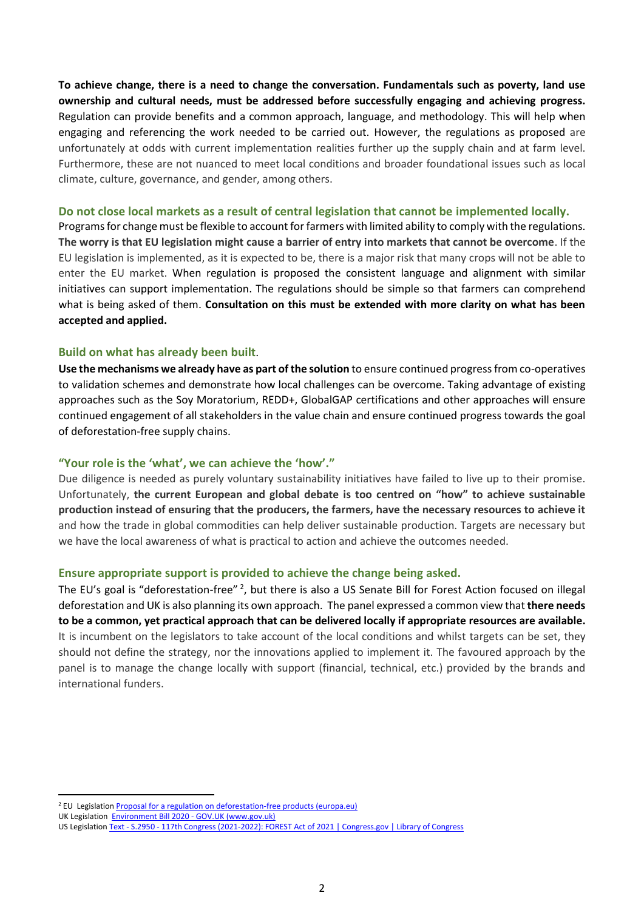**To achieve change, there is a need to change the conversation. Fundamentals such as poverty, land use ownership and cultural needs, must be addressed before successfully engaging and achieving progress.**  Regulation can provide benefits and a common approach, language, and methodology. This will help when engaging and referencing the work needed to be carried out. However, the regulations as proposed are unfortunately at odds with current implementation realities further up the supply chain and at farm level. Furthermore, these are not nuanced to meet local conditions and broader foundational issues such as local climate, culture, governance, and gender, among others.

### <span id="page-3-0"></span>**Do not close local markets as a result of central legislation that cannot be implemented locally.**

Programs for change must be flexible to account for farmers with limited ability to comply with the regulations. **The worry is that EU legislation might cause a barrier of entry into markets that cannot be overcome**. If the EU legislation is implemented, as it is expected to be, there is a major risk that many crops will not be able to enter the EU market. When regulation is proposed the consistent language and alignment with similar initiatives can support implementation. The regulations should be simple so that farmers can comprehend what is being asked of them. **Consultation on this must be extended with more clarity on what has been accepted and applied.** 

# <span id="page-3-1"></span>**Build on what has already been built**.

**Use the mechanisms we already have as part of the solution** to ensure continued progress from co-operatives to validation schemes and demonstrate how local challenges can be overcome. Taking advantage of existing approaches such as the Soy Moratorium, REDD+, GlobalGAP certifications and other approaches will ensure continued engagement of all stakeholders in the value chain and ensure continued progress towards the goal of deforestation-free supply chains.

### <span id="page-3-2"></span>**"Your role is the 'what', we can achieve the 'how'."**

Due diligence is needed as purely voluntary sustainability initiatives have failed to live up to their promise. Unfortunately, **the current European and global debate is too centred on "how" to achieve sustainable production instead of ensuring that the producers, the farmers, have the necessary resources to achieve it** and how the trade in global commodities can help deliver sustainable production. Targets are necessary but we have the local awareness of what is practical to action and achieve the outcomes needed.

### <span id="page-3-3"></span>**Ensure appropriate support is provided to achieve the change being asked.**

The EU's goal is "deforestation-free"<sup>2</sup>, but there is also a US Senate Bill for Forest Action focused on illegal deforestation and UK is also planning its own approach. The panel expressed a common view that **there needs to be a common, yet practical approach that can be delivered locally if appropriate resources are available.** It is incumbent on the legislators to take account of the local conditions and whilst targets can be set, they should not define the strategy, nor the innovations applied to implement it. The favoured approach by the panel is to manage the change locally with support (financial, technical, etc.) provided by the brands and international funders.

<sup>&</sup>lt;sup>2</sup> EU Legislation **Proposal for a regulation on deforestation-free products (europa.eu)** 

UK Legislation [Environment Bill 2020 -](https://eur03.safelinks.protection.outlook.com/?url=https%3A%2F%2Fwww.gov.uk%2Fgovernment%2Fpublications%2Fenvironment-bill-2020&data=05%7C01%7Cmsummerer%40intracen.org%7C6e87ce65be6b4f62275008da22a03f3d%7Cc3476d307bc34f9b9d15f444947ff4cd%7C0%7C0%7C637860368900161516%7CUnknown%7CTWFpbGZsb3d8eyJWIjoiMC4wLjAwMDAiLCJQIjoiV2luMzIiLCJBTiI6Ik1haWwiLCJXVCI6Mn0%3D%7C3000%7C%7C%7C&sdata=ZZF5he9LjN522g4tf%2BaFsqInl%2FE%2B578NAA0ct2w9XAQ%3D&reserved=0) GOV.UK (www.gov.uk)

US Legislation Text - S.2950 - [117th Congress \(2021-2022\): FOREST Act of 2021 | Congress.gov | Library of Congress](https://eur03.safelinks.protection.outlook.com/?url=https%3A%2F%2Fwww.congress.gov%2Fbill%2F117th-congress%2Fsenate-bill%2F2950%2Ftext&data=05%7C01%7Cmsummerer%40intracen.org%7C6e87ce65be6b4f62275008da22a03f3d%7Cc3476d307bc34f9b9d15f444947ff4cd%7C0%7C0%7C637860368900161516%7CUnknown%7CTWFpbGZsb3d8eyJWIjoiMC4wLjAwMDAiLCJQIjoiV2luMzIiLCJBTiI6Ik1haWwiLCJXVCI6Mn0%3D%7C3000%7C%7C%7C&sdata=L3MYerTxPz6iOgp9iukQzHK0fVPggnJHBLaUIUY59r8%3D&reserved=0)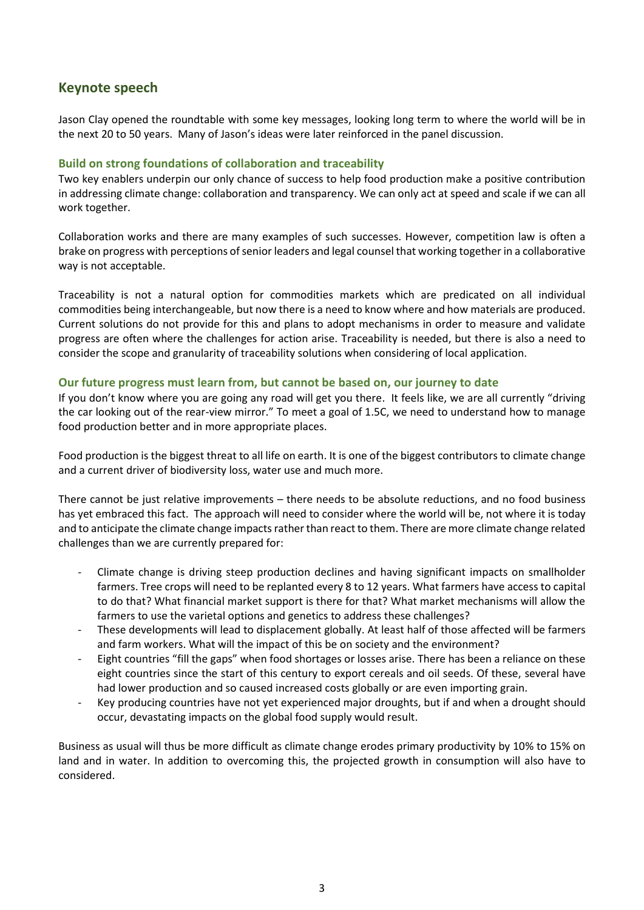# <span id="page-4-0"></span>**Keynote speech**

Jason Clay opened the roundtable with some key messages, looking long term to where the world will be in the next 20 to 50 years. Many of Jason's ideas were later reinforced in the panel discussion.

# <span id="page-4-1"></span>**Build on strong foundations of collaboration and traceability**

Two key enablers underpin our only chance of success to help food production make a positive contribution in addressing climate change: collaboration and transparency. We can only act at speed and scale if we can all work together.

Collaboration works and there are many examples of such successes. However, competition law is often a brake on progress with perceptions of senior leaders and legal counsel that working together in a collaborative way is not acceptable.

Traceability is not a natural option for commodities markets which are predicated on all individual commodities being interchangeable, but now there is a need to know where and how materials are produced. Current solutions do not provide for this and plans to adopt mechanisms in order to measure and validate progress are often where the challenges for action arise. Traceability is needed, but there is also a need to consider the scope and granularity of traceability solutions when considering of local application.

# <span id="page-4-2"></span>**Our future progress must learn from, but cannot be based on, our journey to date**

If you don't know where you are going any road will get you there. It feels like, we are all currently "driving the car looking out of the rear-view mirror." To meet a goal of 1.5C, we need to understand how to manage food production better and in more appropriate places.

Food production is the biggest threat to all life on earth. It is one of the biggest contributors to climate change and a current driver of biodiversity loss, water use and much more.

There cannot be just relative improvements – there needs to be absolute reductions, and no food business has yet embraced this fact. The approach will need to consider where the world will be, not where it is today and to anticipate the climate change impacts rather than react to them. There are more climate change related challenges than we are currently prepared for:

- Climate change is driving steep production declines and having significant impacts on smallholder farmers. Tree crops will need to be replanted every 8 to 12 years. What farmers have access to capital to do that? What financial market support is there for that? What market mechanisms will allow the farmers to use the varietal options and genetics to address these challenges?
- These developments will lead to displacement globally. At least half of those affected will be farmers and farm workers. What will the impact of this be on society and the environment?
- Eight countries "fill the gaps" when food shortages or losses arise. There has been a reliance on these eight countries since the start of this century to export cereals and oil seeds. Of these, several have had lower production and so caused increased costs globally or are even importing grain.
- Key producing countries have not yet experienced major droughts, but if and when a drought should occur, devastating impacts on the global food supply would result.

Business as usual will thus be more difficult as climate change erodes primary productivity by 10% to 15% on land and in water. In addition to overcoming this, the projected growth in consumption will also have to considered.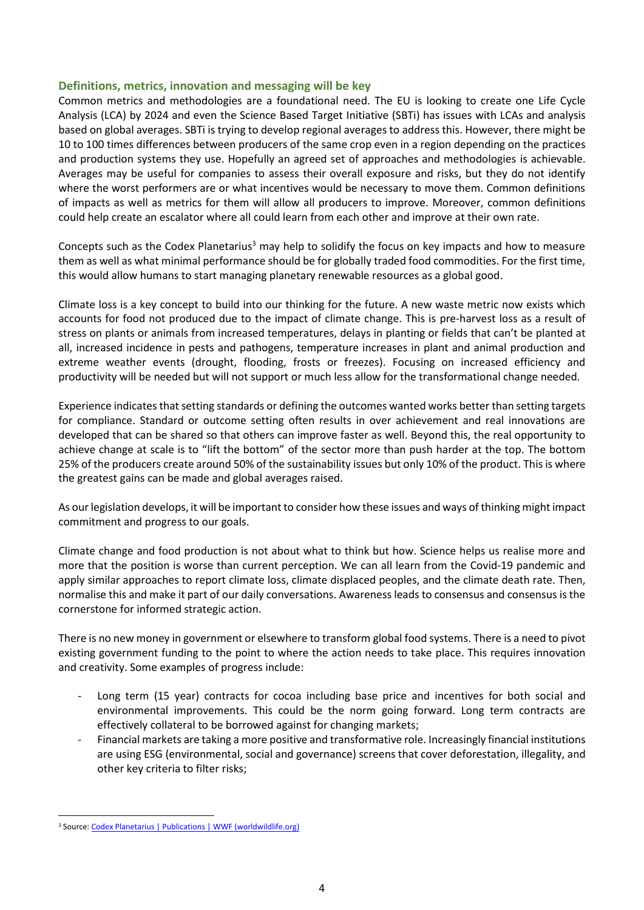# <span id="page-5-0"></span>**Definitions, metrics, innovation and messaging will be key**

Common metrics and methodologies are a foundational need. The EU is looking to create one Life Cycle Analysis (LCA) by 2024 and even the Science Based Target Initiative (SBTi) has issues with LCAs and analysis based on global averages. SBTi is trying to develop regional averages to address this. However, there might be 10 to 100 times differences between producers of the same crop even in a region depending on the practices and production systems they use. Hopefully an agreed set of approaches and methodologies is achievable. Averages may be useful for companies to assess their overall exposure and risks, but they do not identify where the worst performers are or what incentives would be necessary to move them. Common definitions of impacts as well as metrics for them will allow all producers to improve. Moreover, common definitions could help create an escalator where all could learn from each other and improve at their own rate.

Concepts such as the Codex Planetarius<sup>3</sup> may help to solidify the focus on key impacts and how to measure them as well as what minimal performance should be for globally traded food commodities. For the first time, this would allow humans to start managing planetary renewable resources as a global good.

Climate loss is a key concept to build into our thinking for the future. A new waste metric now exists which accounts for food not produced due to the impact of climate change. This is pre-harvest loss as a result of stress on plants or animals from increased temperatures, delays in planting or fields that can't be planted at all, increased incidence in pests and pathogens, temperature increases in plant and animal production and extreme weather events (drought, flooding, frosts or freezes). Focusing on increased efficiency and productivity will be needed but will not support or much less allow for the transformational change needed.

Experience indicates that setting standards or defining the outcomes wanted works better than setting targets for compliance. Standard or outcome setting often results in over achievement and real innovations are developed that can be shared so that others can improve faster as well. Beyond this, the real opportunity to achieve change at scale is to "lift the bottom" of the sector more than push harder at the top. The bottom 25% of the producers create around 50% of the sustainability issues but only 10% of the product. This is where the greatest gains can be made and global averages raised.

As our legislation develops, it will be important to consider how these issues and ways of thinking might impact commitment and progress to our goals.

Climate change and food production is not about what to think but how. Science helps us realise more and more that the position is worse than current perception. We can all learn from the Covid-19 pandemic and apply similar approaches to report climate loss, climate displaced peoples, and the climate death rate. Then, normalise this and make it part of our daily conversations. Awareness leads to consensus and consensus is the cornerstone for informed strategic action.

There is no new money in government or elsewhere to transform global food systems. There is a need to pivot existing government funding to the point to where the action needs to take place. This requires innovation and creativity. Some examples of progress include:

- Long term (15 year) contracts for cocoa including base price and incentives for both social and environmental improvements. This could be the norm going forward. Long term contracts are effectively collateral to be borrowed against for changing markets;
- Financial markets are taking a more positive and transformative role. Increasingly financial institutions are using ESG (environmental, social and governance) screens that cover deforestation, illegality, and other key criteria to filter risks;

<sup>&</sup>lt;sup>3</sup> Source[: Codex Planetarius | Publications | WWF \(worldwildlife.org\)](https://www.worldwildlife.org/publications/codex-planetarius)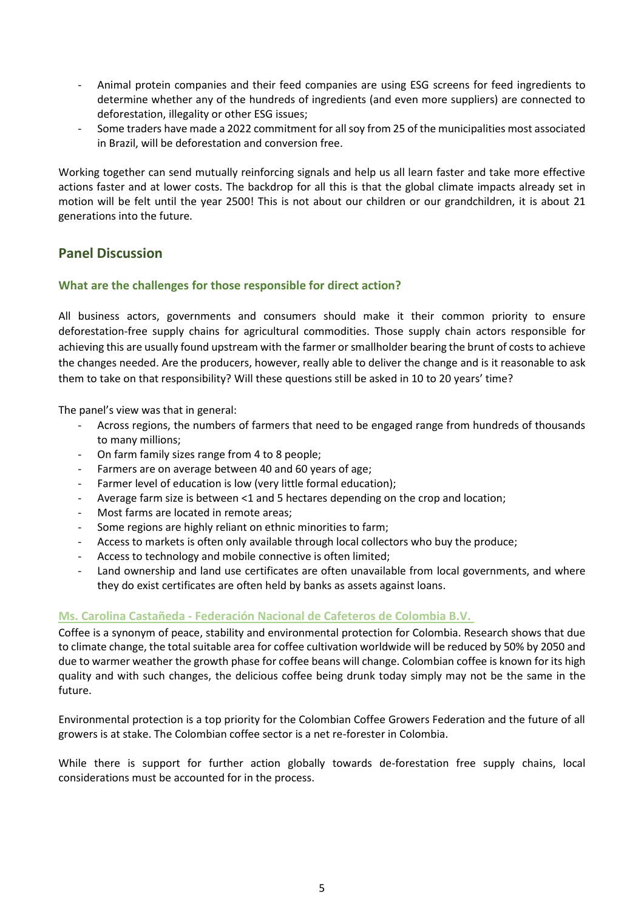- Animal protein companies and their feed companies are using ESG screens for feed ingredients to determine whether any of the hundreds of ingredients (and even more suppliers) are connected to deforestation, illegality or other ESG issues;
- Some traders have made a 2022 commitment for all soy from 25 of the municipalities most associated in Brazil, will be deforestation and conversion free.

Working together can send mutually reinforcing signals and help us all learn faster and take more effective actions faster and at lower costs. The backdrop for all this is that the global climate impacts already set in motion will be felt until the year 2500! This is not about our children or our grandchildren, it is about 21 generations into the future.

# <span id="page-6-1"></span><span id="page-6-0"></span>**Panel Discussion**

# **What are the challenges for those responsible for direct action?**

All business actors, governments and consumers should make it their common priority to ensure deforestation-free supply chains for agricultural commodities. Those supply chain actors responsible for achieving this are usually found upstream with the farmer or smallholder bearing the brunt of costs to achieve the changes needed. Are the producers, however, really able to deliver the change and is it reasonable to ask them to take on that responsibility? Will these questions still be asked in 10 to 20 years' time?

The panel's view was that in general:

- Across regions, the numbers of farmers that need to be engaged range from hundreds of thousands to many millions;
- On farm family sizes range from 4 to 8 people;
- Farmers are on average between 40 and 60 years of age;
- Farmer level of education is low (very little formal education);
- Average farm size is between <1 and 5 hectares depending on the crop and location;
- Most farms are located in remote areas:
- Some regions are highly reliant on ethnic minorities to farm;
- Access to markets is often only available through local collectors who buy the produce;
- Access to technology and mobile connective is often limited;
- Land ownership and land use certificates are often unavailable from local governments, and where they do exist certificates are often held by banks as assets against loans.

# <span id="page-6-2"></span>**Ms. Carolina Castañeda - Federación Nacional de Cafeteros de Colombia B.V.**

Coffee is a synonym of peace, stability and environmental protection for Colombia. Research shows that due to climate change, the total suitable area for coffee cultivation worldwide will be reduced by 50% by 2050 and due to warmer weather the growth phase for coffee beans will change. Colombian coffee is known for its high quality and with such changes, the delicious coffee being drunk today simply may not be the same in the future.

Environmental protection is a top priority for the Colombian Coffee Growers Federation and the future of all growers is at stake. The Colombian coffee sector is a net re-forester in Colombia.

While there is support for further action globally towards de-forestation free supply chains, local considerations must be accounted for in the process.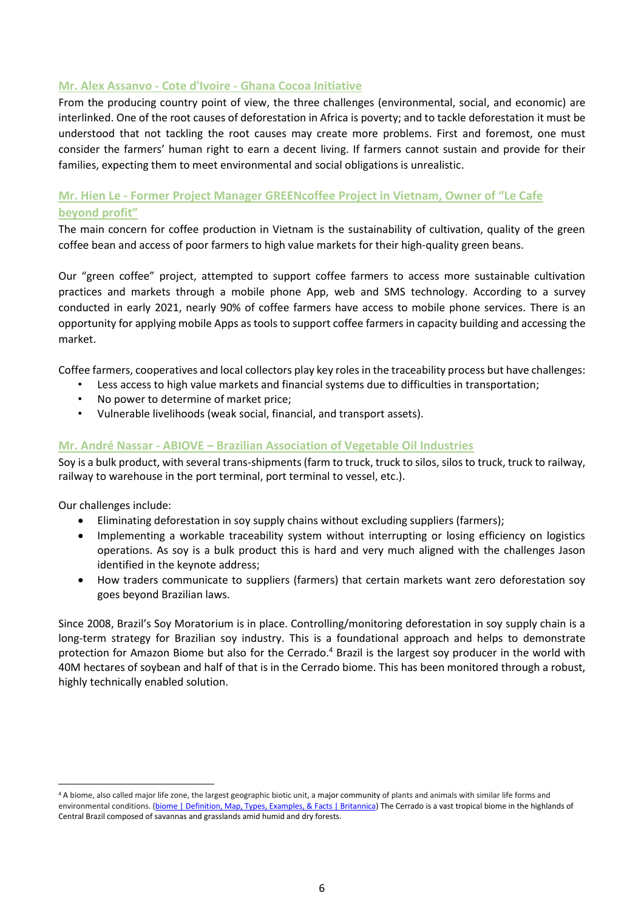# <span id="page-7-0"></span>**Mr. Alex Assanvo - Cote d'Ivoire - Ghana Cocoa Initiative**

From the producing country point of view, the three challenges (environmental, social, and economic) are interlinked. One of the root causes of deforestation in Africa is poverty; and to tackle deforestation it must be understood that not tackling the root causes may create more problems. First and foremost, one must consider the farmers' human right to earn a decent living. If farmers cannot sustain and provide for their families, expecting them to meet environmental and social obligations is unrealistic.

# <span id="page-7-1"></span>**Mr. Hien Le - Former Project Manager GREENcoffee Project in Vietnam, Owner of "Le Cafe beyond profit"**

The main concern for coffee production in Vietnam is the sustainability of cultivation, quality of the green coffee bean and access of poor farmers to high value markets for their high-quality green beans.

Our "green coffee" project, attempted to support coffee farmers to access more sustainable cultivation practices and markets through a mobile phone App, web and SMS technology. According to a survey conducted in early 2021, nearly 90% of coffee farmers have access to mobile phone services. There is an opportunity for applying mobile Apps as tools to support coffee farmers in capacity building and accessing the market.

Coffee farmers, cooperatives and local collectors play key roles in the traceability process but have challenges:

- Less access to high value markets and financial systems due to difficulties in transportation;
- No power to determine of market price;
- Vulnerable livelihoods (weak social, financial, and transport assets).

# <span id="page-7-2"></span>**Mr. André Nassar - ABIOVE – Brazilian Association of Vegetable Oil Industries**

Soy is a bulk product, with several trans-shipments (farm to truck, truck to silos, silos to truck, truck to railway, railway to warehouse in the port terminal, port terminal to vessel, etc.).

Our challenges include:

- Eliminating deforestation in soy supply chains without excluding suppliers (farmers);
- Implementing a workable traceability system without interrupting or losing efficiency on logistics operations. As soy is a bulk product this is hard and very much aligned with the challenges Jason identified in the keynote address;
- How traders communicate to suppliers (farmers) that certain markets want zero deforestation soy goes beyond Brazilian laws.

Since 2008, Brazil's Soy Moratorium is in place. Controlling/monitoring deforestation in soy supply chain is a long-term strategy for Brazilian soy industry. This is a foundational approach and helps to demonstrate protection for Amazon Biome but also for the Cerrado.<sup>4</sup> Brazil is the largest soy producer in the world with 40M hectares of soybean and half of that is in the Cerrado biome. This has been monitored through a robust, highly technically enabled solution.

<sup>4</sup> A biome, also called major life zone, the largest geographic biotic unit, a major [community](https://www.britannica.com/science/community-biology) of plants and animals with similar life forms and environmental conditions. [\(biome | Definition, Map, Types, Examples, & Facts | Britannica\)](https://www.britannica.com/science/biome) The Cerrado is a vast tropical biome in the highlands of Central Brazil composed of savannas and grasslands amid humid and dry forests.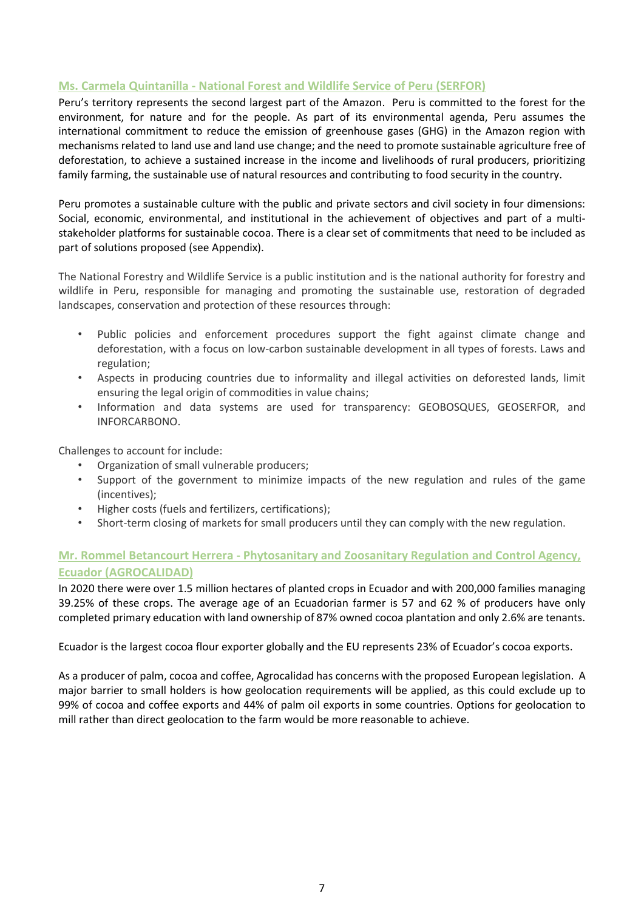# <span id="page-8-0"></span>**Ms. Carmela Quintanilla - National Forest and Wildlife Service of Peru (SERFOR)**

Peru's territory represents the second largest part of the Amazon. Peru is committed to the forest for the environment, for nature and for the people. As part of its environmental agenda, Peru assumes the international commitment to reduce the emission of greenhouse gases (GHG) in the Amazon region with mechanisms related to land use and land use change; and the need to promote sustainable agriculture free of deforestation, to achieve a sustained increase in the income and livelihoods of rural producers, prioritizing family farming, the sustainable use of natural resources and contributing to food security in the country.

Peru promotes a sustainable culture with the public and private sectors and civil society in four dimensions: Social, economic, environmental, and institutional in the achievement of objectives and part of a multistakeholder platforms for sustainable cocoa. There is a clear set of commitments that need to be included as part of solutions proposed (see Appendix).

The National Forestry and Wildlife Service is a public institution and is the national authority for forestry and wildlife in Peru, responsible for managing and promoting the sustainable use, restoration of degraded landscapes, conservation and protection of these resources through:

- Public policies and enforcement procedures support the fight against climate change and deforestation, with a focus on low-carbon sustainable development in all types of forests. Laws and regulation;
- Aspects in producing countries due to informality and illegal activities on deforested lands, limit ensuring the legal origin of commodities in value chains;
- Information and data systems are used for transparency: GEOBOSQUES, GEOSERFOR, and INFORCARBONO.

Challenges to account for include:

- Organization of small vulnerable producers;
- Support of the government to minimize impacts of the new regulation and rules of the game (incentives);
- Higher costs (fuels and fertilizers, certifications);
- Short-term closing of markets for small producers until they can comply with the new regulation.

# <span id="page-8-1"></span>**Mr. Rommel Betancourt Herrera - Phytosanitary and Zoosanitary Regulation and Control Agency, Ecuador (AGROCALIDAD)**

In 2020 there were over 1.5 million hectares of planted crops in Ecuador and with 200,000 families managing 39.25% of these crops. The average age of an Ecuadorian farmer is 57 and 62 % of producers have only completed primary education with land ownership of 87% owned cocoa plantation and only 2.6% are tenants.

Ecuador is the largest cocoa flour exporter globally and the EU represents 23% of Ecuador's cocoa exports.

As a producer of palm, cocoa and coffee, Agrocalidad has concerns with the proposed European legislation. A major barrier to small holders is how geolocation requirements will be applied, as this could exclude up to 99% of cocoa and coffee exports and 44% of palm oil exports in some countries. Options for geolocation to mill rather than direct geolocation to the farm would be more reasonable to achieve.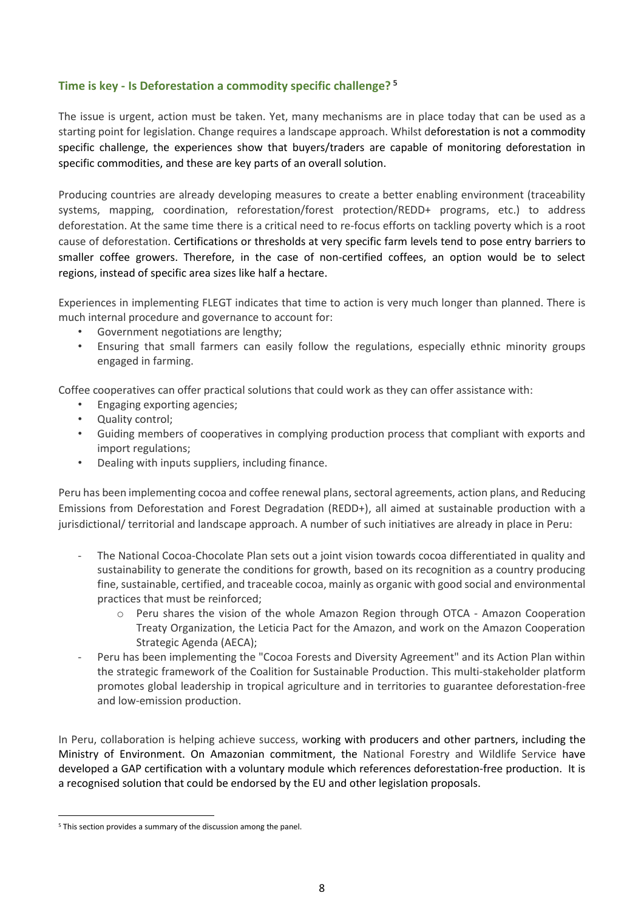# <span id="page-9-0"></span>**Time is key - Is Deforestation a commodity specific challenge? <sup>5</sup>**

The issue is urgent, action must be taken. Yet, many mechanisms are in place today that can be used as a starting point for legislation. Change requires a landscape approach. Whilst deforestation is not a commodity specific challenge, the experiences show that buyers/traders are capable of monitoring deforestation in specific commodities, and these are key parts of an overall solution.

Producing countries are already developing measures to create a better enabling environment (traceability systems, mapping, coordination, reforestation/forest protection/REDD+ programs, etc.) to address deforestation. At the same time there is a critical need to re-focus efforts on tackling poverty which is a root cause of deforestation. Certifications or thresholds at very specific farm levels tend to pose entry barriers to smaller coffee growers. Therefore, in the case of non-certified coffees, an option would be to select regions, instead of specific area sizes like half a hectare.

Experiences in implementing FLEGT indicates that time to action is very much longer than planned. There is much internal procedure and governance to account for:

- Government negotiations are lengthy;
- Ensuring that small farmers can easily follow the regulations, especially ethnic minority groups engaged in farming.

Coffee cooperatives can offer practical solutions that could work as they can offer assistance with:

- Engaging exporting agencies;
- Quality control;
- Guiding members of cooperatives in complying production process that compliant with exports and import regulations;
- Dealing with inputs suppliers, including finance.

Peru has been implementing cocoa and coffee renewal plans, sectoral agreements, action plans, and Reducing Emissions from Deforestation and Forest Degradation (REDD+), all aimed at sustainable production with a jurisdictional/ territorial and landscape approach. A number of such initiatives are already in place in Peru:

- The National Cocoa-Chocolate Plan sets out a joint vision towards cocoa differentiated in quality and sustainability to generate the conditions for growth, based on its recognition as a country producing fine, sustainable, certified, and traceable cocoa, mainly as organic with good social and environmental practices that must be reinforced;
	- o Peru shares the vision of the whole Amazon Region through OTCA Amazon Cooperation Treaty Organization, the Leticia Pact for the Amazon, and work on the Amazon Cooperation Strategic Agenda (AECA);
- Peru has been implementing the "Cocoa Forests and Diversity Agreement" and its Action Plan within the strategic framework of the Coalition for Sustainable Production. This multi-stakeholder platform promotes global leadership in tropical agriculture and in territories to guarantee deforestation-free and low-emission production.

In Peru, collaboration is helping achieve success, working with producers and other partners, including the Ministry of Environment. On Amazonian commitment, the National Forestry and Wildlife Service have developed a GAP certification with a voluntary module which references deforestation-free production. It is a recognised solution that could be endorsed by the EU and other legislation proposals.

<sup>&</sup>lt;sup>5</sup> This section provides a summary of the discussion among the panel.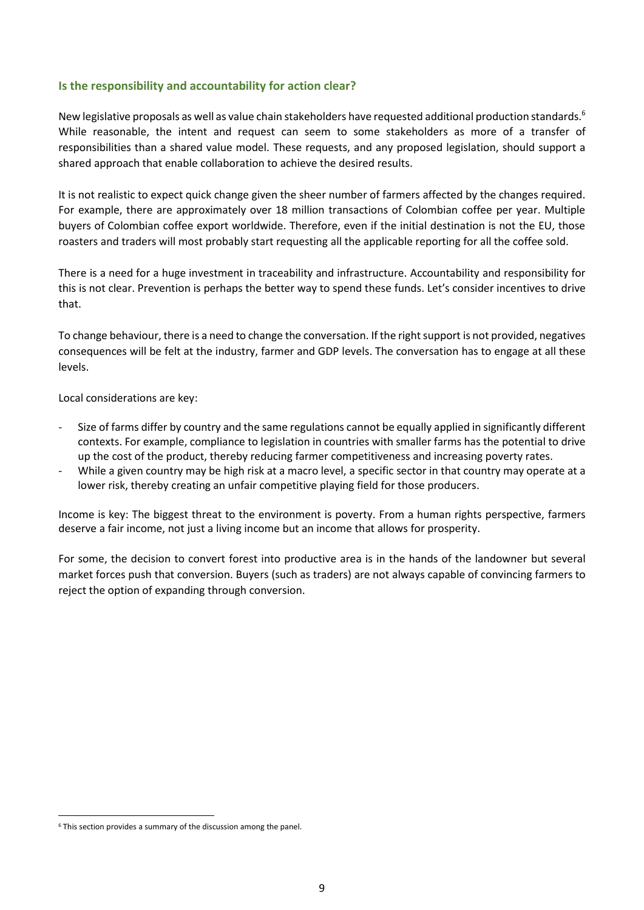# <span id="page-10-0"></span>**Is the responsibility and accountability for action clear?**

New legislative proposals as well as value chain stakeholders have requested additional production standards.<sup>6</sup> While reasonable, the intent and request can seem to some stakeholders as more of a transfer of responsibilities than a shared value model. These requests, and any proposed legislation, should support a shared approach that enable collaboration to achieve the desired results.

It is not realistic to expect quick change given the sheer number of farmers affected by the changes required. For example, there are approximately over 18 million transactions of Colombian coffee per year. Multiple buyers of Colombian coffee export worldwide. Therefore, even if the initial destination is not the EU, those roasters and traders will most probably start requesting all the applicable reporting for all the coffee sold.

There is a need for a huge investment in traceability and infrastructure. Accountability and responsibility for this is not clear. Prevention is perhaps the better way to spend these funds. Let's consider incentives to drive that.

To change behaviour, there is a need to change the conversation. If the right support is not provided, negatives consequences will be felt at the industry, farmer and GDP levels. The conversation has to engage at all these levels.

Local considerations are key:

- Size of farms differ by country and the same regulations cannot be equally applied in significantly different contexts. For example, compliance to legislation in countries with smaller farms has the potential to drive up the cost of the product, thereby reducing farmer competitiveness and increasing poverty rates.
- While a given country may be high risk at a macro level, a specific sector in that country may operate at a lower risk, thereby creating an unfair competitive playing field for those producers.

Income is key: The biggest threat to the environment is poverty. From a human rights perspective, farmers deserve a fair income, not just a living income but an income that allows for prosperity.

For some, the decision to convert forest into productive area is in the hands of the landowner but several market forces push that conversion. Buyers (such as traders) are not always capable of convincing farmers to reject the option of expanding through conversion.

<sup>&</sup>lt;sup>6</sup> This section provides a summary of the discussion among the panel.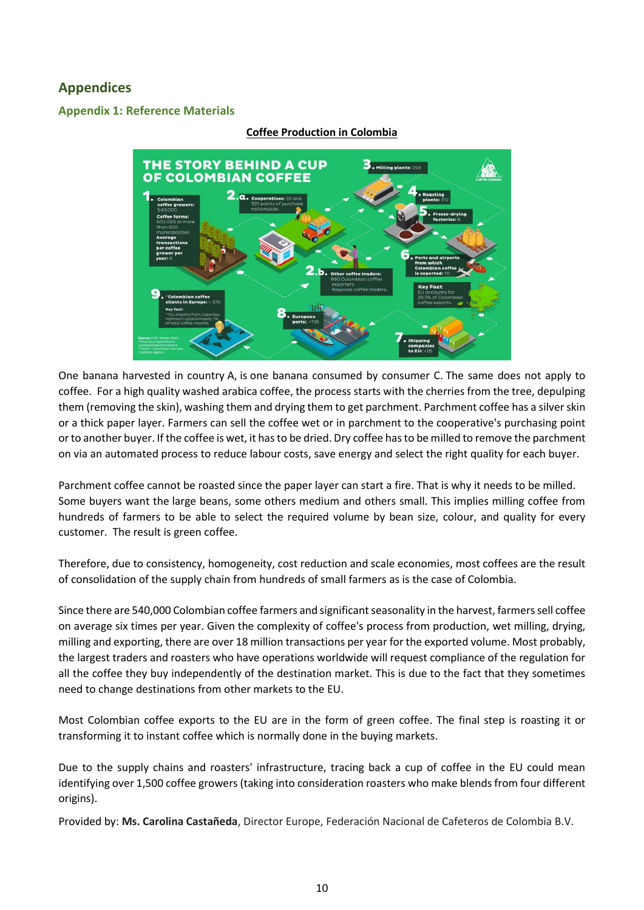# <span id="page-11-0"></span>**Appendices**

# <span id="page-11-1"></span>**Appendix 1: Reference Materials**



#### **Coffee Production in Colombia**

One banana harvested in country A, is one banana consumed by consumer C. The same does not apply to coffee. For a high quality washed arabica coffee, the process starts with the cherries from the tree, depulping them (removing the skin), washing them and drying them to get parchment. Parchment coffee has a silver skin or a thick paper layer. Farmers can sell the coffee wet or in parchment to the cooperative's purchasing point or to another buyer. If the coffee is wet, it has to be dried. Dry coffee has to be milled to remove the parchment on via an automated process to reduce labour costs, save energy and select the right quality for each buyer.

Parchment coffee cannot be roasted since the paper layer can start a fire. That is why it needs to be milled. Some buyers want the large beans, some others medium and others small. This implies milling coffee from hundreds of farmers to be able to select the required volume by bean size, colour, and quality for every customer. The result is green coffee.

Therefore, due to consistency, homogeneity, cost reduction and scale economies, most coffees are the result of consolidation of the supply chain from hundreds of small farmers as is the case of Colombia.

Since there are 540,000 Colombian coffee farmers and significant seasonality in the harvest, farmers sell coffee on average six times per year. Given the complexity of coffee's process from production, wet milling, drying, milling and exporting, there are over 18 million transactions per year for the exported volume. Most probably, the largest traders and roasters who have operations worldwide will request compliance of the regulation for all the coffee they buy independently of the destination market. This is due to the fact that they sometimes need to change destinations from other markets to the EU.

Most Colombian coffee exports to the EU are in the form of green coffee. The final step is roasting it or transforming it to instant coffee which is normally done in the buying markets.

Due to the supply chains and roasters' infrastructure, tracing back a cup of coffee in the EU could mean identifying over 1,500 coffee growers (taking into consideration roasters who make blends from four different origins).

Provided by: **Ms. Carolina Castañeda**, Director Europe, Federación Nacional de Cafeteros de Colombia B.V.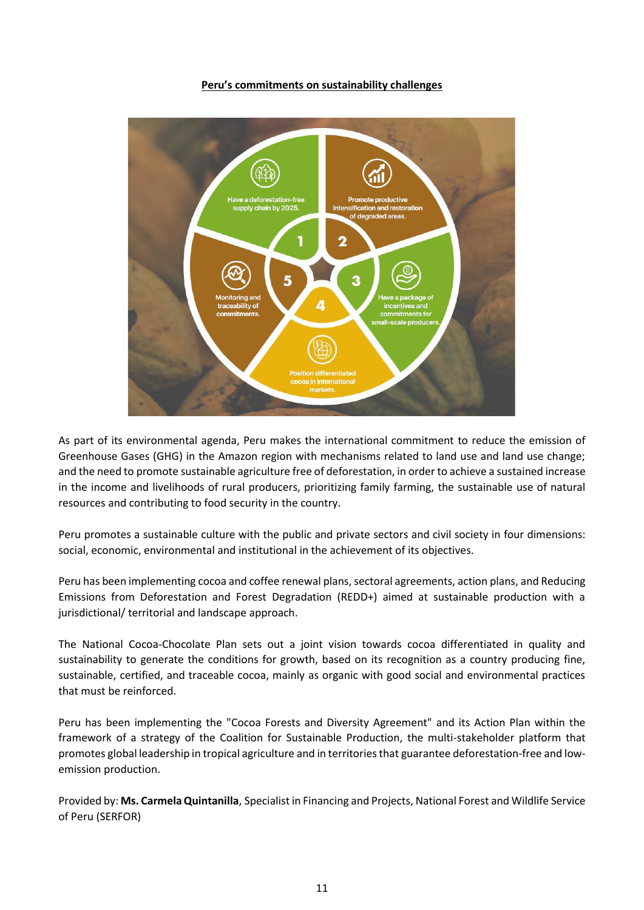

#### **Peru's commitments on sustainability challenges**

As part of its environmental agenda, Peru makes the international commitment to reduce the emission of Greenhouse Gases (GHG) in the Amazon region with mechanisms related to land use and land use change; and the need to promote sustainable agriculture free of deforestation, in order to achieve a sustained increase in the income and livelihoods of rural producers, prioritizing family farming, the sustainable use of natural resources and contributing to food security in the country.

Peru promotes a sustainable culture with the public and private sectors and civil society in four dimensions: social, economic, environmental and institutional in the achievement of its objectives.

Peru has been implementing cocoa and coffee renewal plans, sectoral agreements, action plans, and Reducing Emissions from Deforestation and Forest Degradation (REDD+) aimed at sustainable production with a jurisdictional/ territorial and landscape approach.

The National Cocoa-Chocolate Plan sets out a joint vision towards cocoa differentiated in quality and sustainability to generate the conditions for growth, based on its recognition as a country producing fine, sustainable, certified, and traceable cocoa, mainly as organic with good social and environmental practices that must be reinforced.

Peru has been implementing the "Cocoa Forests and Diversity Agreement" and its Action Plan within the framework of a strategy of the Coalition for Sustainable Production, the multi-stakeholder platform that promotes global leadership in tropical agriculture and in territories that guarantee deforestation-free and lowemission production.

Provided by: **Ms. Carmela Quintanilla**, Specialist in Financing and Projects, National Forest and Wildlife Service of Peru (SERFOR)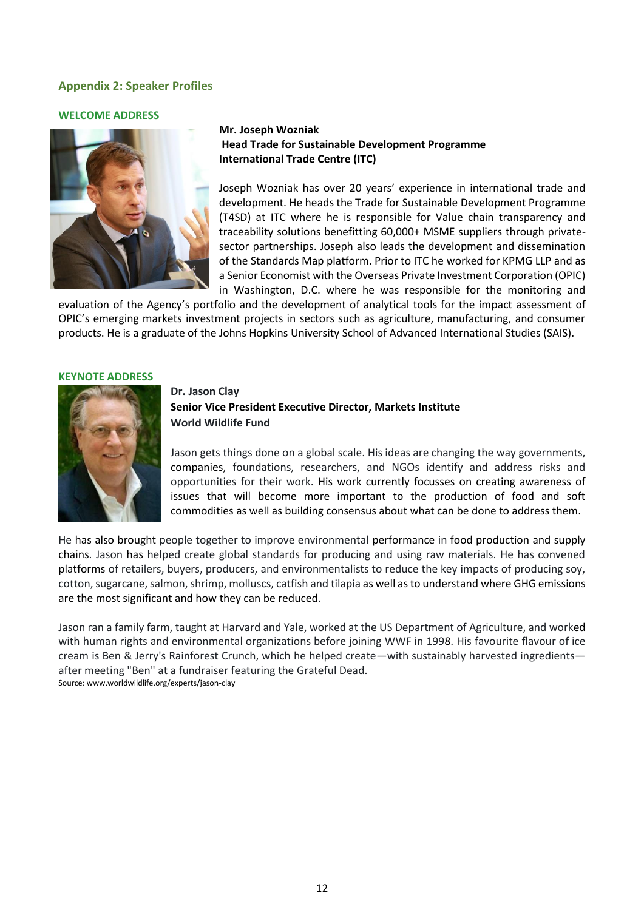# <span id="page-13-0"></span>**Appendix 2: Speaker Profiles**

#### **WELCOME ADDRESS**



# **Mr. Joseph Wozniak Head Trade for Sustainable Development Programme International Trade Centre (ITC)**

Joseph Wozniak has over 20 years' experience in international trade and development. He heads the Trade for Sustainable Development Programme (T4SD) at ITC where he is responsible for Value chain transparency and traceability solutions benefitting 60,000+ MSME suppliers through privatesector partnerships. Joseph also leads the development and dissemination of the Standards Map platform. Prior to ITC he worked for KPMG LLP and as a Senior Economist with the Overseas Private Investment Corporation (OPIC) in Washington, D.C. where he was responsible for the monitoring and

evaluation of the Agency's portfolio and the development of analytical tools for the impact assessment of OPIC's emerging markets investment projects in sectors such as agriculture, manufacturing, and consumer products. He is a graduate of the Johns Hopkins University School of Advanced International Studies (SAIS).

#### **KEYNOTE ADDRESS**



# **Dr. Jason Clay Senior Vice President Executive Director, Markets Institute World Wildlife Fund**

Jason gets things done on a global scale. His ideas are changing the way governments, companies, foundations, researchers, and NGOs identify and address risks and opportunities for their work. His work currently focusses on creating awareness of issues that will become more important to the production of food and soft commodities as well as building consensus about what can be done to address them.

He has also brought people together to improve environmental performance in food production and supply chains. Jason has helped create global standards for producing and using raw materials. He has convened platforms of retailers, buyers, producers, and environmentalists to reduce the key impacts of producing soy, cotton, sugarcane, salmon, shrimp, molluscs, catfish and tilapia as well as to understand where GHG emissions are the most significant and how they can be reduced.

Jason ran a family farm, taught at Harvard and Yale, worked at the US Department of Agriculture, and worked with human rights and environmental organizations before joining WWF in 1998. His favourite flavour of ice cream is Ben & Jerry's Rainforest Crunch, which he helped create—with sustainably harvested ingredients after meeting "Ben" at a fundraiser featuring the Grateful Dead. Source: [www.worldwildlife.org/experts/jason-clay](https://eur03.safelinks.protection.outlook.com/?url=https%3A%2F%2Fwww.worldwildlife.org%2Fexperts%2Fjason-clay&data=04%7C01%7Cmsummerer%40intracen.org%7C3e69eb5b501f46c1d6b108da0ce34fb3%7Cc3476d307bc34f9b9d15f444947ff4cd%7C0%7C0%7C637836467697655077%7CUnknown%7CTWFpbGZsb3d8eyJWIjoiMC4wLjAwMDAiLCJQIjoiV2luMzIiLCJBTiI6Ik1haWwiLCJXVCI6Mn0%3D%7C3000&sdata=RSAyOxpt7U7obImuShIS8qoB7OzAxd7l4fM1kExLFWA%3D&reserved=0)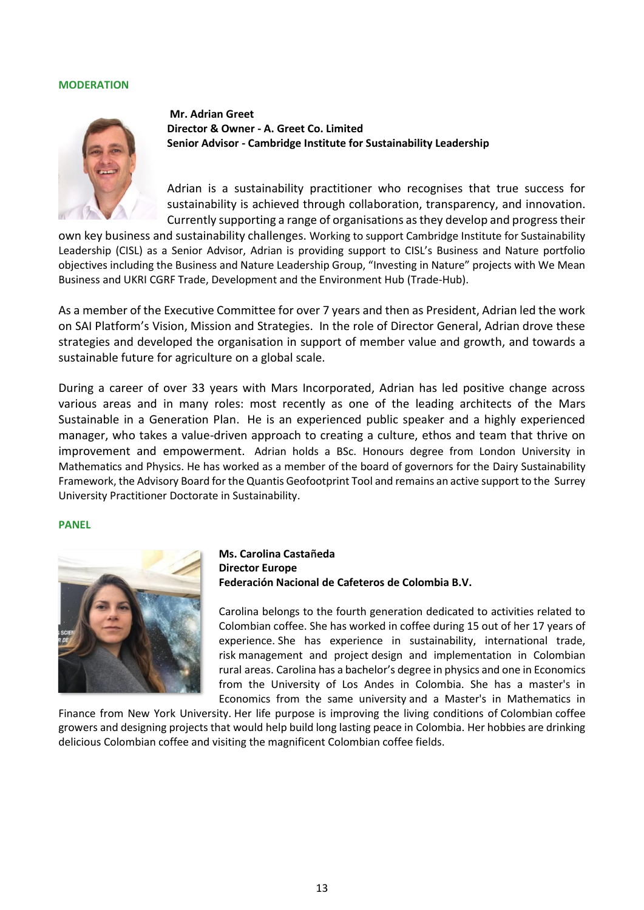#### **MODERATION**



**Mr. Adrian Greet Director & Owner - A. Greet Co. Limited Senior Advisor - Cambridge Institute for Sustainability Leadership**

Adrian is a sustainability practitioner who recognises that true success for sustainability is achieved through collaboration, transparency, and innovation. Currently supporting a range of organisations as they develop and progress their

own key business and sustainability challenges. Working to support Cambridge Institute for Sustainability Leadership (CISL) as a Senior Advisor, Adrian is providing support to CISL's Business and Nature portfolio objectives including the Business and Nature Leadership Group, "Investing in Nature" projects with We Mean Business and UKRI CGRF Trade, Development and the Environment Hub (Trade-Hub).

As a member of the Executive Committee for over 7 years and then as President, Adrian led the work on SAI Platform's [Vision, Mission and Strategies.](https://saiplatform.org/pressroom/256/33/SAI-Platform-s-New-Vision-and-Mission) In the role of Director General, Adrian drove these strategies and developed the organisation in support of member value and growth, and towards a sustainable future for agriculture on a global scale.

During a career of over 33 years with Mars Incorporated, Adrian has led positive change across various areas and in many roles: most recently as one of the leading architects of the [Mars](https://www.mars.com/global/sustainable-in-a-generation)  [Sustainable in a Generation Plan.](https://www.mars.com/global/sustainable-in-a-generation) He is an experienced public speaker and a highly experienced manager, who takes a value-driven approach to creating a culture, ethos and team that thrive on improvement and empowerment. Adrian holds a BSc. Honours degree from London University in Mathematics and Physics. He has worked as a member of the board of governors for the [Dairy Sustainability](https://dairysustainabilityframework.org/)  [Framework,](https://dairysustainabilityframework.org/) the Advisory Board for the [Quantis Geofootprint Tool](https://quantis-intl.com/geofootprint-tool-will-accelerate-decarbonization-of-the-agricultural-sector/) and remains an active support to the [Surrey](https://www.surrey.ac.uk/centre-environment-sustainability/postgraduate-study/practitioner-doctorate-sustainability)  [University Practitioner Doctorate in Sustainability.](https://www.surrey.ac.uk/centre-environment-sustainability/postgraduate-study/practitioner-doctorate-sustainability)

#### **PANEL**



# **Ms. Carolina Castañeda Director Europe Federación Nacional de Cafeteros de Colombia B.V.**

Carolina belongs to the fourth generation dedicated to activities related to Colombian coffee. She has worked in coffee during 15 out of her 17 years of experience. She has experience in sustainability, international trade, risk management and project design and implementation in Colombian rural areas. Carolina has a bachelor's degree in physics and one in Economics from the University of Los Andes in Colombia. She has a master's in Economics from the same university and a Master's in Mathematics in

Finance from New York University. Her life purpose is improving the living conditions of Colombian coffee growers and designing projects that would help build long lasting peace in Colombia. Her hobbies are drinking delicious Colombian coffee and visiting the magnificent Colombian coffee fields.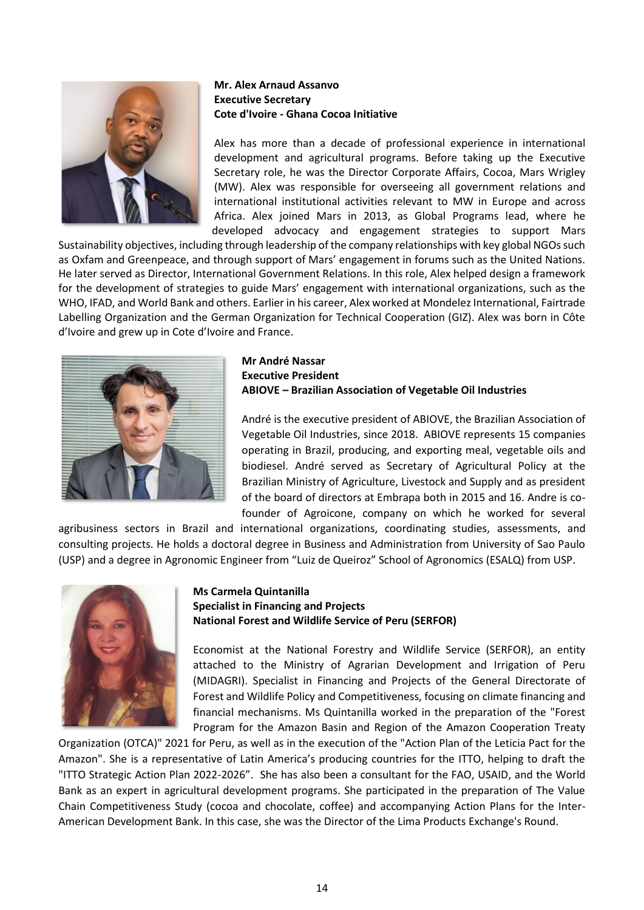

# **Mr. Alex Arnaud Assanvo Executive Secretary Cote d'Ivoire - Ghana Cocoa Initiative**

Alex has more than a decade of professional experience in international development and agricultural programs. Before taking up the Executive Secretary role, he was the Director Corporate Affairs, Cocoa, Mars Wrigley (MW). Alex was responsible for overseeing all government relations and international institutional activities relevant to MW in Europe and across Africa. Alex joined Mars in 2013, as Global Programs lead, where he developed advocacy and engagement strategies to support Mars

Sustainability objectives, including through leadership of the company relationships with key global NGOs such as Oxfam and Greenpeace, and through support of Mars' engagement in forums such as the United Nations. He later served as Director, International Government Relations. In this role, Alex helped design a framework for the development of strategies to guide Mars' engagement with international organizations, such as the WHO, IFAD, and World Bank and others. Earlier in his career, Alex worked at Mondelez International, Fairtrade Labelling Organization and the German Organization for Technical Cooperation (GIZ). Alex was born in Côte d'Ivoire and grew up in Cote d'Ivoire and France.



### **Mr André Nassar Executive President ABIOVE – Brazilian Association of Vegetable Oil Industries**

André is the executive president of ABIOVE, the Brazilian Association of Vegetable Oil Industries, since 2018. ABIOVE represents 15 companies operating in Brazil, producing, and exporting meal, vegetable oils and biodiesel. André served as Secretary of Agricultural Policy at the Brazilian Ministry of Agriculture, Livestock and Supply and as president of the board of directors at Embrapa both in 2015 and 16. Andre is cofounder of Agroicone, company on which he worked for several

agribusiness sectors in Brazil and international organizations, coordinating studies, assessments, and consulting projects. He holds a doctoral degree in Business and Administration from University of Sao Paulo (USP) and a degree in Agronomic Engineer from "Luiz de Queiroz" School of Agronomics (ESALQ) from USP.



### **Ms Carmela Quintanilla Specialist in Financing and Projects National Forest and Wildlife Service of Peru (SERFOR)**

Economist at the National Forestry and Wildlife Service (SERFOR), an entity attached to the Ministry of Agrarian Development and Irrigation of Peru (MIDAGRI). Specialist in Financing and Projects of the General Directorate of Forest and Wildlife Policy and Competitiveness, focusing on climate financing and financial mechanisms. Ms Quintanilla worked in the preparation of the "Forest Program for the Amazon Basin and Region of the Amazon Cooperation Treaty

Organization (OTCA)" 2021 for Peru, as well as in the execution of the "Action Plan of the Leticia Pact for the Amazon". She is a representative of Latin America's producing countries for the ITTO, helping to draft the "ITTO Strategic Action Plan 2022-2026". She has also been a consultant for the FAO, USAID, and the World Bank as an expert in agricultural development programs. She participated in the preparation of The Value Chain Competitiveness Study (cocoa and chocolate, coffee) and accompanying Action Plans for the Inter-American Development Bank. In this case, she was the Director of the Lima Products Exchange's Round.